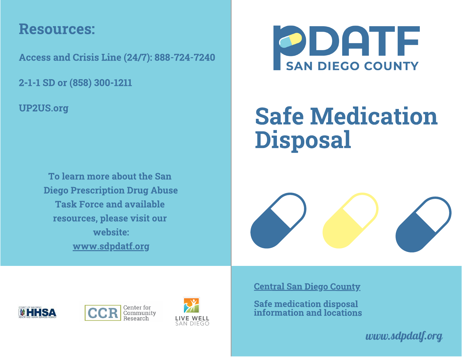## Resources:

Access and Crisis Line (24/7): 888-724-7240

2-1-1 SD or (858) 300-1211

UP2US.org

To learn more about the San Diego Prescription Drug Abuse **Task Force and available** resources, please visit our website: website: www.communication.com www.sdpdatf.org



# **Safe Medication**  $S_1$  ,  $S_2$  and  $S_3$  are  $S_4$  and  $S_5$  are  $S_6$  and  $S_7$  are  $S_7$  and  $S_8$  are  $S_7$  and  $S_8$  are  $S_7$  and  $S_8$  are  $S_7$  and  $S_8$  are  $S_7$  and  $S_8$  are  $S_7$  are  $S_7$  and  $S_8$  are  $S_7$  are  $S_7$  are  $S_$ Disposal







Central San Diego County

Safe medication disposal information and locations

*www.sdpdatf.org*